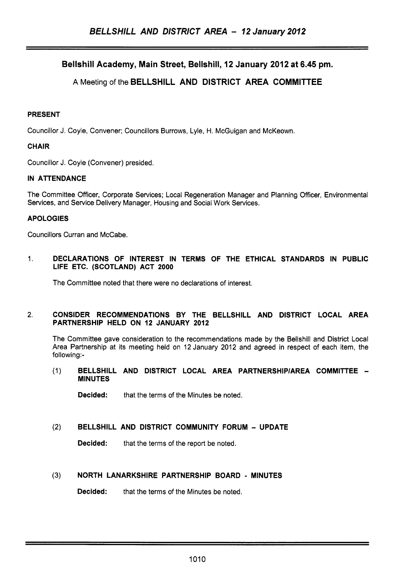# Bellshill Academy, Main Street, Bellshill, 12 January 2012 at 6.45 pm.

# A Meeting of the BELLSHILL AND DISTRICT AREA COMMITTEE

## PRESENT

Councillor J. Coyle, Convener; Councillors Burrows, Lyle, H. McGuigan and McKeown.

### **CHAIR**

Councillor J. Coyle (Convener) presided.

## IN ATTENDANCE

The Committee Officer, Corporate Services; Local Regeneration Manager and Planning Officer, Environmental Services, and Service Delivery Manager, Housing and Social Work Services.

## APOLOGIES

Councillors Curran and McCabe.

1. DECLARATIONS OF INTEREST IN TERMS OF THE ETHICAL STANDARDS IN PUBLIC LIFE ETC. (SCOTLAND) ACT **2000** 

The Committee noted that there were no declarations of interest.

#### 2. CONSIDER RECOMMENDATIONS BY THE BELLSHILL AND DISTRICT LOCAL AREA PARTNERSHIP HELD ON **12** JANUARY **2012**

The Committee gave consideration to the recommendations made by the Bellshill and District Local Area Partnership at its meeting held on 12 January 2012 and agreed in respect of each item, the following:-

(1) BELLSHILL AND DISTRICT LOCAL AREA PARTNERSHlPlAREA COMMITTEE - MINUTES

**Decided:** that the terms of the Minutes be noted.

**(2)** BELLSHILL AND DISTRICT COMMUNITY FORUM - UPDATE

Decided: that the terms of the report be noted.

# **(3)** NORTH LANARKSHIRE PARTNERSHIP BOARD - MINUTES

**Decided:** that the terms of the Minutes be noted.